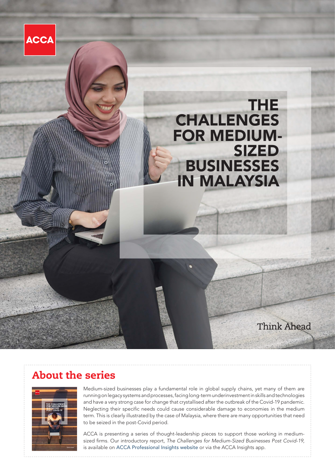

# About the series



Medium-sized businesses play a fundamental role in global supply chains, yet many of them are running on legacy systems and processes, facing long-term underinvestment in skills and technologies and have a very strong case for change that crystallised after the outbreak of the Covid-19 pandemic. Neglecting their specific needs could cause considerable damage to economies in the medium term. This is clearly illustrated by the case of Malaysia, where there are many opportunities that need to be seized in the post-Covid period.

ACCA is presenting a series of thought-leadership pieces to support those working in mediumsized firms. Our introductory report, *The Challenges for Medium-Sized Businesses Post Covid-19*, is available on [ACCA Professional Insights website](https://www.accaglobal.com/gb/en/professional-insights/global-profession/challenges-medium-businesses-post-covid.html) or via the ACCA Insights app.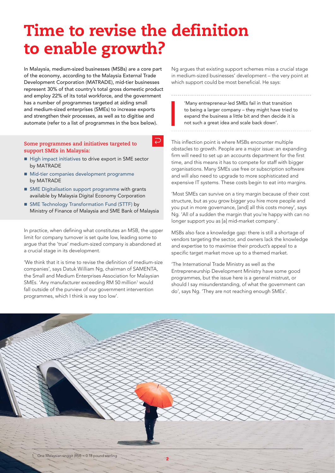# Time to revise the definition to enable growth?

 $\overline{D}$ 

In Malaysia, medium-sized businesses (MSBs) are a core part of the economy, according to the Malaysia External Trade Development Corporation (MATRADE), mid-tier businesses represent 30% of that country's total gross domestic product and employ 22% of its total workforce, and the government has a number of programmes targeted at aiding small and medium-sized enterprises (SMEs) to increase exports and strengthen their processes, as well as to digitise and automate (refer to a list of programmes in the box below).

#### **Some programmes and initiatives targeted to support SMEs in Malaysia:**

- [High impact initiatives](https://www.matrade.gov.my/en/about-matrade/media/press-releases/190-press-releases-2022/5575-matrade-lines-up-high-impact-initiatives-to-drive-exports) to drive export in SME sector by MATRADE
- $\blacksquare$  [Mid-tier companies development programme](http://www.mprc.gov.my/i-ogse/export-programme/mid-tier-companies-development-programme-mtcdp) by MATRADE
- $\blacksquare$  [SME Digitalisation support programme](https://mdec.my/digital-economy-initiatives/for-the-industry/sme-digitalisation-grant/) with grants available by Malaysia Digital Economy Corporation
- [SME Technology Transformation Fund \(STTF\)](https://www.smebank.com.my/en/sttf) by Ministry of Finance of Malaysia and SME Bank of Malaysia

In practice, when defining what constitutes an MSB, the upper limit for company turnover is set quite low, leading some to argue that the 'true' medium-sized company is abandoned at a crucial stage in its development.

'We think that it is time to revise the definition of medium-size companies', says Datuk William Ng, chairman of SAMENTA, the Small and Medium Enterprises Association for Malaysian SMEs. 'Any manufacturer exceeding RM 50 million<sup>1</sup> would fall outside of the purview of our government intervention programmes, which I think is way too low'.

Ng argues that existing support schemes miss a crucial stage in medium-sized businesses' development – the very point at which support could be most beneficial. He says:

'Many entrepreneur-led SMEs fail in that transition to being a larger company – they might have tried to expand the business a little bit and then decide it is not such a great idea and scale back down'.

This inflection point is where MSBs encounter multiple obstacles to growth. People are a major issue: an expanding firm will need to set up an accounts department for the first time, and this means it has to compete for staff with bigger organisations. Many SMEs use free or subscription software and will also need to upgrade to more sophisticated and expensive IT systems. These costs begin to eat into margins.

'Most SMEs can survive on a tiny margin because of their cost structure, but as you grow bigger you hire more people and you put in more governance, [and] all this costs money', says Ng. 'All of a sudden the margin that you're happy with can no longer support you as [a] mid-market company'.

MSBs also face a knowledge gap: there is still a shortage of vendors targeting the sector, and owners lack the knowledge and expertise to to maximise their product's appeal to a specific target market move up to a themed market.

'The International Trade Ministry as well as the Entrepreneurship Development Ministry have some good programmes, but the issue here is a general mistrust, or should I say misunderstanding, of what the government can do', says Ng. 'They are not reaching enough SMEs'.

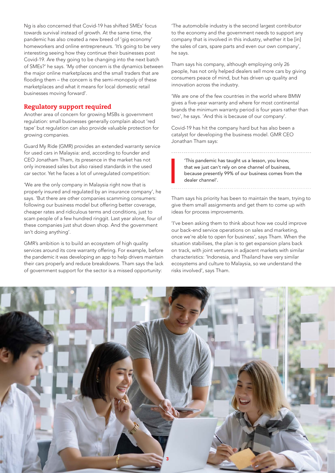Ng is also concerned that Covid-19 has shifted SMEs' focus towards survival instead of growth. At the same time, the pandemic has also created a new breed of 'gig economy' homeworkers and online entrepreneurs. 'It's going to be very interesting seeing how they continue their businesses post Covid-19. Are they going to be changing into the next batch of SMEs?' he says. 'My other concern is the dynamics between the major online marketplaces and the small traders that are flooding them – the concern is the semi-monopoly of these marketplaces and what it means for local domestic retail businesses moving forward'.

## Regulatory support required

Another area of concern for growing MSBs is government regulation: small businesses generally complain about 'red tape' but regulation can also provide valuable protection for growing companies.

Guard My Ride (GMR) provides an extended warranty service for used cars in Malaysia: and, according to founder and CEO Jonatham Tham, its presence in the market has not only increased sales but also raised standards in the used car sector. Yet he faces a lot of unregulated competition:

'We are the only company in Malaysia right now that is properly insured and regulated by an insurance company', he says. 'But there are other companies scamming consumers: following our business model but offering better coverage, cheaper rates and ridiculous terms and conditions, just to scam people of a few hundred ringgit. Last year alone, four of these companies just shut down shop. And the government isn't doing anything'.

GMR's ambition is to build an ecosystem of high quality services around its core warranty offering. For example, before the pandemic it was developing an app to help drivers maintain their cars properly and reduce breakdowns. Tham says the lack of government support for the sector is a missed opportunity:

'The automobile industry is the second largest contributor to the economy and the government needs to support any company that is involved in this industry, whether it be [in] the sales of cars, spare parts and even our own company', he says.

Tham says his company, although employing only 26 people, has not only helped dealers sell more cars by giving consumers peace of mind, but has driven up quality and innovation across the industry.

'We are one of the few countries in the world where BMW gives a five-year warranty and where for most continental brands the minimum warranty period is four years rather than two', he says. 'And this is because of our company'.

Covid-19 has hit the company hard but has also been a catalyst for developing the business model. GMR CEO Jonathan Tham says:

> 'This pandemic has taught us a lesson, you know, that we just can't rely on one channel of business, because presently 99% of our business comes from the dealer channel'.

Tham says his priority has been to maintain the team, trying to give them small assignments and get them to come up with ideas for process improvements.

'I've been asking them to think about how we could improve our back-end service operations on sales and marketing, once we're able to open for business', says Tham. When the situation stabilises, the plan is to get expansion plans back on track, with joint ventures in adjacent markets with similar characteristics: 'Indonesia, and Thailand have very similar ecosystems and culture to Malaysia, so we understand the risks involved', says Tham.